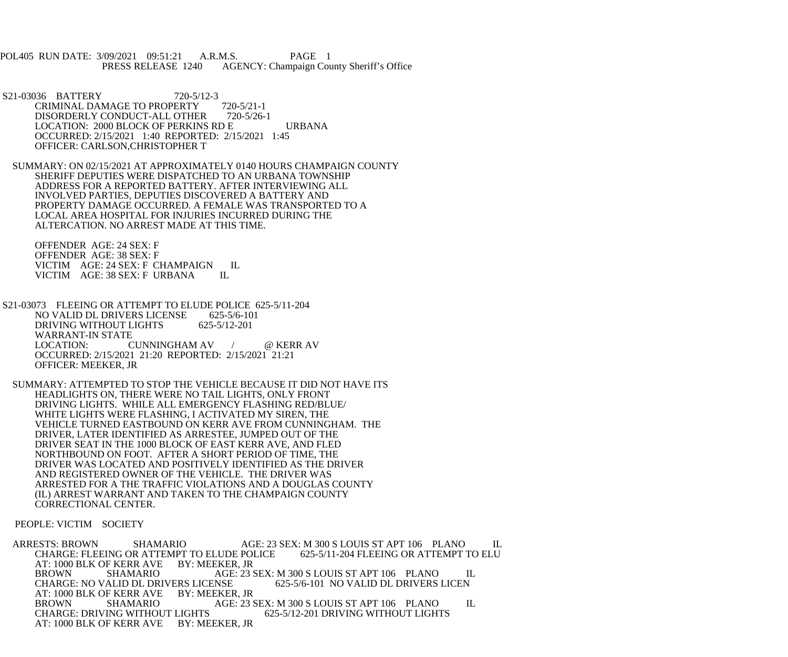POL405 RUN DATE: 3/09/2021 09:51:21 A.R.M.S. PAGE 1 PRESS RELEASE 1240 AGENCY: Champaign County Sheriff's Office

- S21-03036 BATTERY 720-5/12-3 CRIMINAL DAMAGE TO PROPERTY 720-5/21-1 DISORDERLY CONDUCT-ALL OTHER 720-5/26-1 LOCATION: 2000 BLOCK OF PERKINS RD E URBANA OCCURRED: 2/15/2021 1:40 REPORTED: 2/15/2021 1:45 OFFICER: CARLSON,CHRISTOPHER T
- SUMMARY: ON 02/15/2021 AT APPROXIMATELY 0140 HOURS CHAMPAIGN COUNTY SHERIFF DEPUTIES WERE DISPATCHED TO AN URBANA TOWNSHIP ADDRESS FOR A REPORTED BATTERY. AFTER INTERVIEWING ALL INVOLVED PARTIES, DEPUTIES DISCOVERED A BATTERY AND PROPERTY DAMAGE OCCURRED. A FEMALE WAS TRANSPORTED TO A LOCAL AREA HOSPITAL FOR INJURIES INCURRED DURING THE ALTERCATION. NO ARREST MADE AT THIS TIME.

 OFFENDER AGE: 24 SEX: F OFFENDER AGE: 38 SEX: F VICTIM AGE: 24 SEX: F CHAMPAIGN IL<br>VICTIM AGE: 38 SEX: F URBANA IL VICTIM AGE: 38 SEX: F URBANA

- S21-03073 FLEEING OR ATTEMPT TO ELUDE POLICE 625-5/11-204<br>NO VALID DL DRIVERS LICENSE 625-5/6-101 NO VALID DL DRIVERS LICENSE 625-5/6-10<br>DRIVING WITHOUT LIGHTS 625-5/12-201 DRIVING WITHOUT LIGHTS WARRANT-IN STATE CUNNINGHAM AV / @ KERR AV OCCURRED: 2/15/2021 21:20 REPORTED: 2/15/2021 21:21 OFFICER: MEEKER, JR
- SUMMARY: ATTEMPTED TO STOP THE VEHICLE BECAUSE IT DID NOT HAVE ITS HEADLIGHTS ON, THERE WERE NO TAIL LIGHTS, ONLY FRONT DRIVING LIGHTS. WHILE ALL EMERGENCY FLASHING RED/BLUE/ WHITE LIGHTS WERE FLASHING, I ACTIVATED MY SIREN, THE VEHICLE TURNED EASTBOUND ON KERR AVE FROM CUNNINGHAM. THE DRIVER, LATER IDENTIFIED AS ARRESTEE, JUMPED OUT OF THE DRIVER SEAT IN THE 1000 BLOCK OF EAST KERR AVE, AND FLED NORTHBOUND ON FOOT. AFTER A SHORT PERIOD OF TIME, THE DRIVER WAS LOCATED AND POSITIVELY IDENTIFIED AS THE DRIVER AND REGISTERED OWNER OF THE VEHICLE. THE DRIVER WAS ARRESTED FOR A THE TRAFFIC VIOLATIONS AND A DOUGLAS COUNTY (IL) ARREST WARRANT AND TAKEN TO THE CHAMPAIGN COUNTY CORRECTIONAL CENTER.

## PEOPLE: VICTIM SOCIETY

 ARRESTS: BROWN SHAMARIO AGE: 23 SEX: M 300 S LOUIS ST APT 106 PLANO IL CHARGE: FLEEING OR ATTEMPT TO ELUDE POLICE 625-5/11-204 FLEEING OR ATTEMPT TO ELU AT: 1000 BLK OF KERR AVE BY: MEEKER, JR<br>BROWN SHAMARIO AGE: 23 AGE: 23 SEX: M 300 S LOUIS ST APT 106 PLANO IL<br>ENSE 625-5/6-101 NO VALID DL DRIVERS LICEN CHARGE: NO VALID DL DRIVERS LICENSE AT: 1000 BLK OF KERR AVE BY: MEEKER, JR BROWN SHAMARIO AGE: 23 SEX: M 300 S LOUIS ST APT 106 PLANO IL CHARGE: DRIVING WITHOUT LIGHTS 625-5/12-201 DRIVING WITHOUT LIGHTS AT: 1000 BLK OF KERR AVE BY: MEEKER, JR